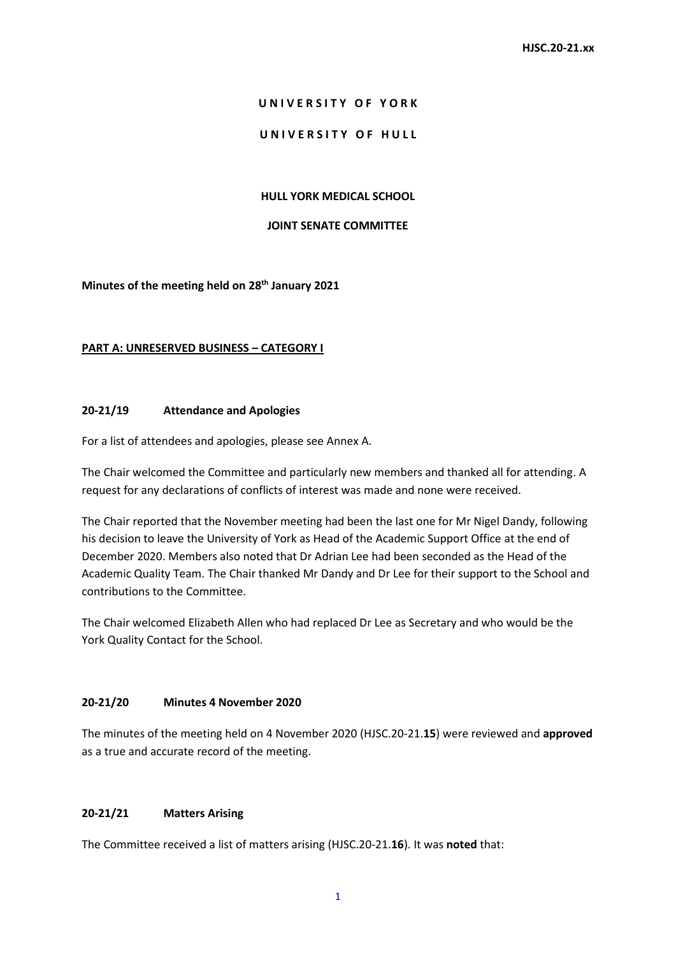### **U N I V E R S I T Y O F Y O R K**

### UNIVERSITY OF HULL

### **HULL YORK MEDICAL SCHOOL**

#### **JOINT SENATE COMMITTEE**

### **Minutes of the meeting held on 28th January 2021**

### **PART A: UNRESERVED BUSINESS – CATEGORY I**

### **20-21/19 Attendance and Apologies**

For a list of attendees and apologies, please see Annex A.

The Chair welcomed the Committee and particularly new members and thanked all for attending. A request for any declarations of conflicts of interest was made and none were received.

The Chair reported that the November meeting had been the last one for Mr Nigel Dandy, following his decision to leave the University of York as Head of the Academic Support Office at the end of December 2020. Members also noted that Dr Adrian Lee had been seconded as the Head of the Academic Quality Team. The Chair thanked Mr Dandy and Dr Lee for their support to the School and contributions to the Committee.

The Chair welcomed Elizabeth Allen who had replaced Dr Lee as Secretary and who would be the York Quality Contact for the School.

### **20-21/20 Minutes 4 November 2020**

The minutes of the meeting held on 4 November 2020 (HJSC.20-21.**15**) were reviewed and **approved** as a true and accurate record of the meeting.

# **20-21/21 Matters Arising**

The Committee received a list of matters arising (HJSC.20-21.**16**). It was **noted** that: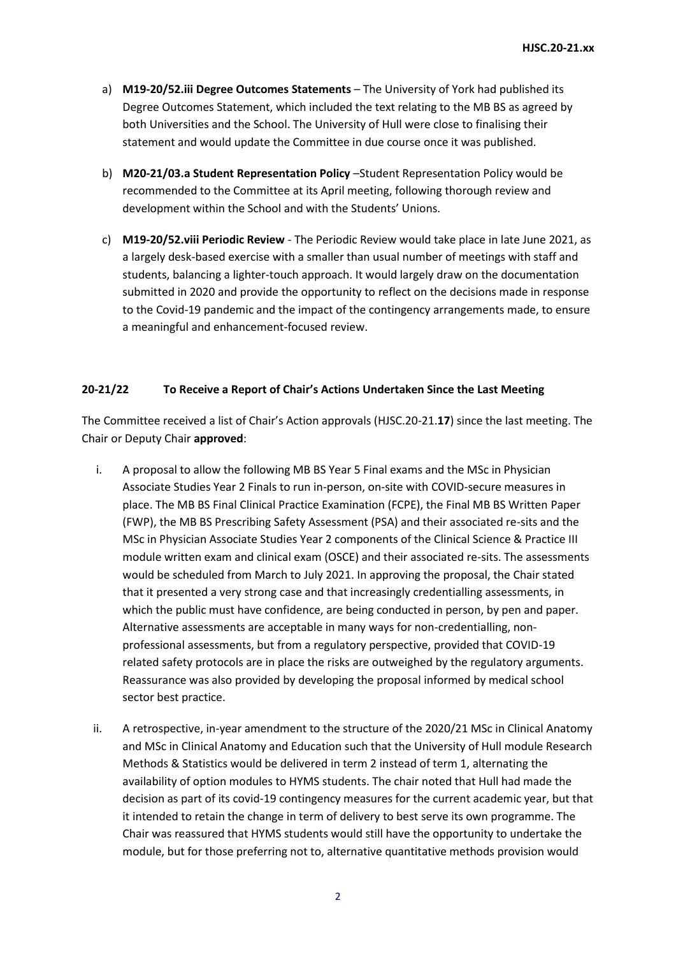- a) **M19-20/52.iii Degree Outcomes Statements**  The University of York had published its Degree Outcomes Statement, which included the text relating to the MB BS as agreed by both Universities and the School. The University of Hull were close to finalising their statement and would update the Committee in due course once it was published.
- b) **M20-21/03.a Student Representation Policy** –Student Representation Policy would be recommended to the Committee at its April meeting, following thorough review and development within the School and with the Students' Unions.
- c) **M19-20/52.viii Periodic Review** The Periodic Review would take place in late June 2021, as a largely desk-based exercise with a smaller than usual number of meetings with staff and students, balancing a lighter-touch approach. It would largely draw on the documentation submitted in 2020 and provide the opportunity to reflect on the decisions made in response to the Covid-19 pandemic and the impact of the contingency arrangements made, to ensure a meaningful and enhancement-focused review.

# **20-21/22 To Receive a Report of Chair's Actions Undertaken Since the Last Meeting**

The Committee received a list of Chair's Action approvals (HJSC.20-21.**17**) since the last meeting. The Chair or Deputy Chair **approved**:

- i. A proposal to allow the following MB BS Year 5 Final exams and the MSc in Physician Associate Studies Year 2 Finals to run in-person, on-site with COVID-secure measures in place. The MB BS Final Clinical Practice Examination (FCPE), the Final MB BS Written Paper (FWP), the MB BS Prescribing Safety Assessment (PSA) and their associated re-sits and the MSc in Physician Associate Studies Year 2 components of the Clinical Science & Practice III module written exam and clinical exam (OSCE) and their associated re-sits. The assessments would be scheduled from March to July 2021. In approving the proposal, the Chair stated that it presented a very strong case and that increasingly credentialling assessments, in which the public must have confidence, are being conducted in person, by pen and paper. Alternative assessments are acceptable in many ways for non-credentialling, nonprofessional assessments, but from a regulatory perspective, provided that COVID-19 related safety protocols are in place the risks are outweighed by the regulatory arguments. Reassurance was also provided by developing the proposal informed by medical school sector best practice.
- ii. A retrospective, in-year amendment to the structure of the 2020/21 MSc in Clinical Anatomy and MSc in Clinical Anatomy and Education such that the University of Hull module Research Methods & Statistics would be delivered in term 2 instead of term 1, alternating the availability of option modules to HYMS students. The chair noted that Hull had made the decision as part of its covid-19 contingency measures for the current academic year, but that it intended to retain the change in term of delivery to best serve its own programme. The Chair was reassured that HYMS students would still have the opportunity to undertake the module, but for those preferring not to, alternative quantitative methods provision would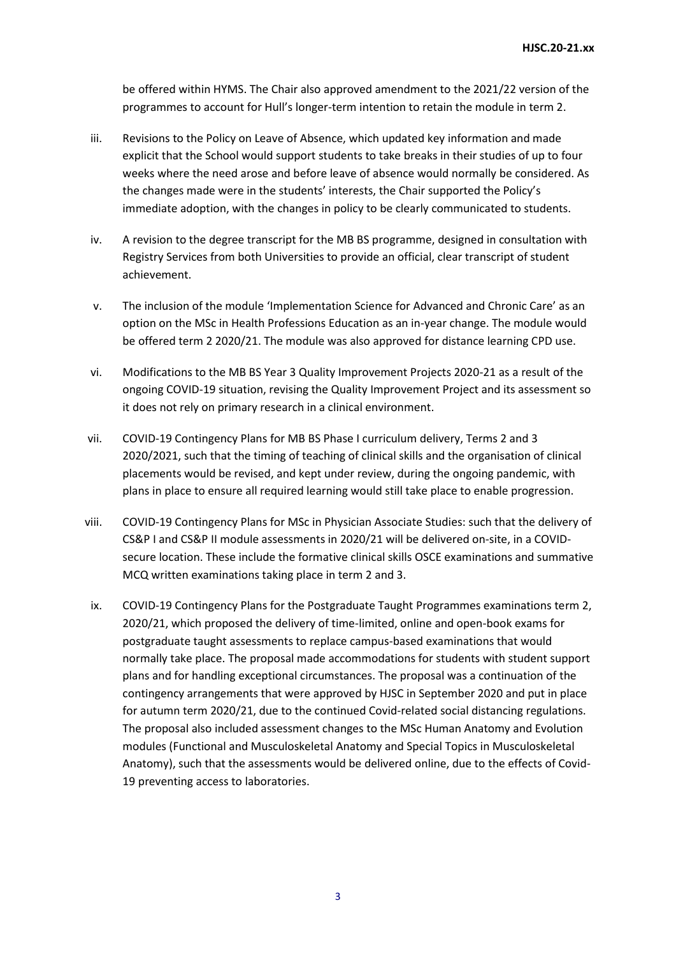be offered within HYMS. The Chair also approved amendment to the 2021/22 version of the programmes to account for Hull's longer-term intention to retain the module in term 2.

- iii. Revisions to the Policy on Leave of Absence, which updated key information and made explicit that the School would support students to take breaks in their studies of up to four weeks where the need arose and before leave of absence would normally be considered. As the changes made were in the students' interests, the Chair supported the Policy's immediate adoption, with the changes in policy to be clearly communicated to students.
- iv. A revision to the degree transcript for the MB BS programme, designed in consultation with Registry Services from both Universities to provide an official, clear transcript of student achievement.
- v. The inclusion of the module 'Implementation Science for Advanced and Chronic Care' as an option on the MSc in Health Professions Education as an in-year change. The module would be offered term 2 2020/21. The module was also approved for distance learning CPD use.
- vi. Modifications to the MB BS Year 3 Quality Improvement Projects 2020-21 as a result of the ongoing COVID-19 situation, revising the Quality Improvement Project and its assessment so it does not rely on primary research in a clinical environment.
- vii. COVID-19 Contingency Plans for MB BS Phase I curriculum delivery, Terms 2 and 3 2020/2021, such that the timing of teaching of clinical skills and the organisation of clinical placements would be revised, and kept under review, during the ongoing pandemic, with plans in place to ensure all required learning would still take place to enable progression.
- viii. COVID-19 Contingency Plans for MSc in Physician Associate Studies: such that the delivery of CS&P I and CS&P II module assessments in 2020/21 will be delivered on-site, in a COVIDsecure location. These include the formative clinical skills OSCE examinations and summative MCQ written examinations taking place in term 2 and 3.
- ix. COVID-19 Contingency Plans for the Postgraduate Taught Programmes examinations term 2, 2020/21, which proposed the delivery of time-limited, online and open-book exams for postgraduate taught assessments to replace campus-based examinations that would normally take place. The proposal made accommodations for students with student support plans and for handling exceptional circumstances. The proposal was a continuation of the contingency arrangements that were approved by HJSC in September 2020 and put in place for autumn term 2020/21, due to the continued Covid-related social distancing regulations. The proposal also included assessment changes to the MSc Human Anatomy and Evolution modules (Functional and Musculoskeletal Anatomy and Special Topics in Musculoskeletal Anatomy), such that the assessments would be delivered online, due to the effects of Covid-19 preventing access to laboratories.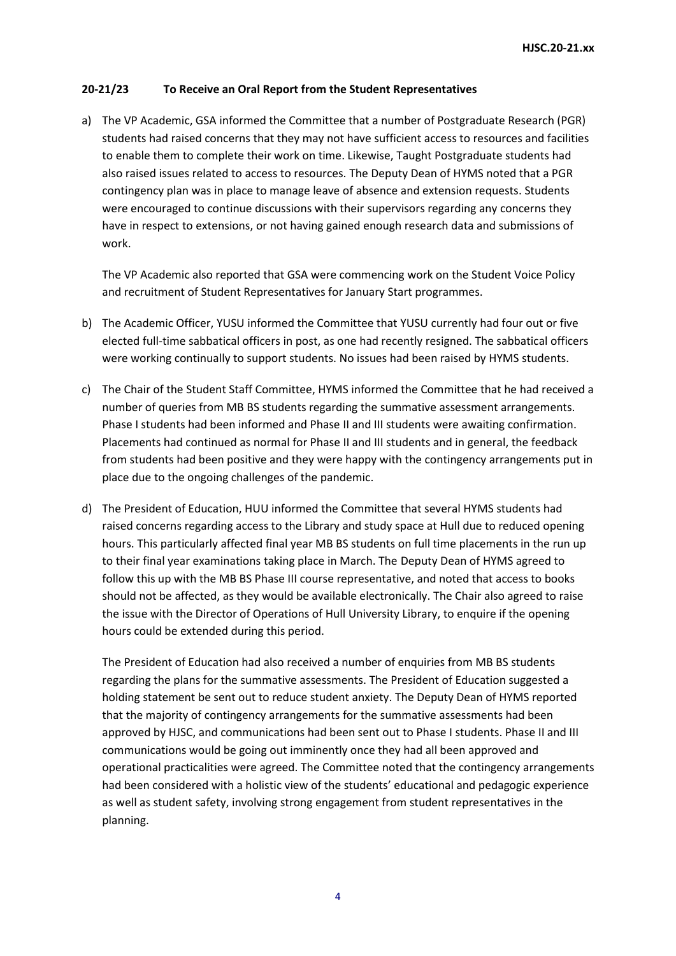# **20-21/23 To Receive an Oral Report from the Student Representatives**

a) The VP Academic, GSA informed the Committee that a number of Postgraduate Research (PGR) students had raised concerns that they may not have sufficient access to resources and facilities to enable them to complete their work on time. Likewise, Taught Postgraduate students had also raised issues related to access to resources. The Deputy Dean of HYMS noted that a PGR contingency plan was in place to manage leave of absence and extension requests. Students were encouraged to continue discussions with their supervisors regarding any concerns they have in respect to extensions, or not having gained enough research data and submissions of work.

The VP Academic also reported that GSA were commencing work on the Student Voice Policy and recruitment of Student Representatives for January Start programmes.

- b) The Academic Officer, YUSU informed the Committee that YUSU currently had four out or five elected full-time sabbatical officers in post, as one had recently resigned. The sabbatical officers were working continually to support students. No issues had been raised by HYMS students.
- c) The Chair of the Student Staff Committee, HYMS informed the Committee that he had received a number of queries from MB BS students regarding the summative assessment arrangements. Phase I students had been informed and Phase II and III students were awaiting confirmation. Placements had continued as normal for Phase II and III students and in general, the feedback from students had been positive and they were happy with the contingency arrangements put in place due to the ongoing challenges of the pandemic.
- d) The President of Education, HUU informed the Committee that several HYMS students had raised concerns regarding access to the Library and study space at Hull due to reduced opening hours. This particularly affected final year MB BS students on full time placements in the run up to their final year examinations taking place in March. The Deputy Dean of HYMS agreed to follow this up with the MB BS Phase III course representative, and noted that access to books should not be affected, as they would be available electronically. The Chair also agreed to raise the issue with the Director of Operations of Hull University Library, to enquire if the opening hours could be extended during this period.

The President of Education had also received a number of enquiries from MB BS students regarding the plans for the summative assessments. The President of Education suggested a holding statement be sent out to reduce student anxiety. The Deputy Dean of HYMS reported that the majority of contingency arrangements for the summative assessments had been approved by HJSC, and communications had been sent out to Phase I students. Phase II and III communications would be going out imminently once they had all been approved and operational practicalities were agreed. The Committee noted that the contingency arrangements had been considered with a holistic view of the students' educational and pedagogic experience as well as student safety, involving strong engagement from student representatives in the planning.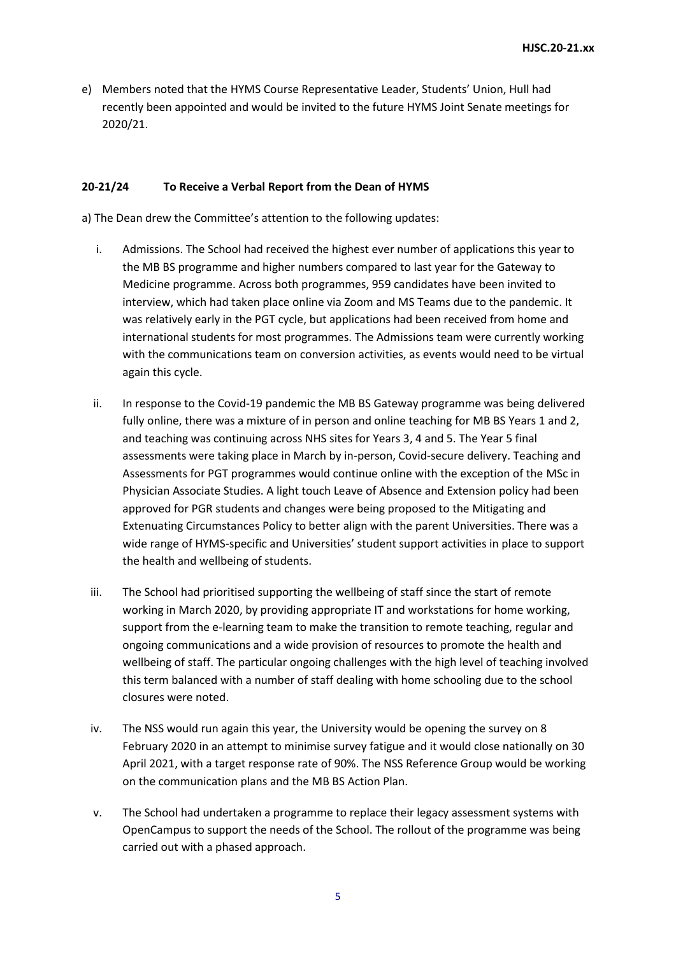e) Members noted that the HYMS Course Representative Leader, Students' Union, Hull had recently been appointed and would be invited to the future HYMS Joint Senate meetings for 2020/21.

### **20-21/24 To Receive a Verbal Report from the Dean of HYMS**

a) The Dean drew the Committee's attention to the following updates:

- i. Admissions. The School had received the highest ever number of applications this year to the MB BS programme and higher numbers compared to last year for the Gateway to Medicine programme. Across both programmes, 959 candidates have been invited to interview, which had taken place online via Zoom and MS Teams due to the pandemic. It was relatively early in the PGT cycle, but applications had been received from home and international students for most programmes. The Admissions team were currently working with the communications team on conversion activities, as events would need to be virtual again this cycle.
- ii. In response to the Covid-19 pandemic the MB BS Gateway programme was being delivered fully online, there was a mixture of in person and online teaching for MB BS Years 1 and 2, and teaching was continuing across NHS sites for Years 3, 4 and 5. The Year 5 final assessments were taking place in March by in-person, Covid-secure delivery. Teaching and Assessments for PGT programmes would continue online with the exception of the MSc in Physician Associate Studies. A light touch Leave of Absence and Extension policy had been approved for PGR students and changes were being proposed to the Mitigating and Extenuating Circumstances Policy to better align with the parent Universities. There was a wide range of HYMS-specific and Universities' student support activities in place to support the health and wellbeing of students.
- iii. The School had prioritised supporting the wellbeing of staff since the start of remote working in March 2020, by providing appropriate IT and workstations for home working, support from the e-learning team to make the transition to remote teaching, regular and ongoing communications and a wide provision of resources to promote the health and wellbeing of staff. The particular ongoing challenges with the high level of teaching involved this term balanced with a number of staff dealing with home schooling due to the school closures were noted.
- iv. The NSS would run again this year, the University would be opening the survey on 8 February 2020 in an attempt to minimise survey fatigue and it would close nationally on 30 April 2021, with a target response rate of 90%. The NSS Reference Group would be working on the communication plans and the MB BS Action Plan.
- v. The School had undertaken a programme to replace their legacy assessment systems with OpenCampus to support the needs of the School. The rollout of the programme was being carried out with a phased approach.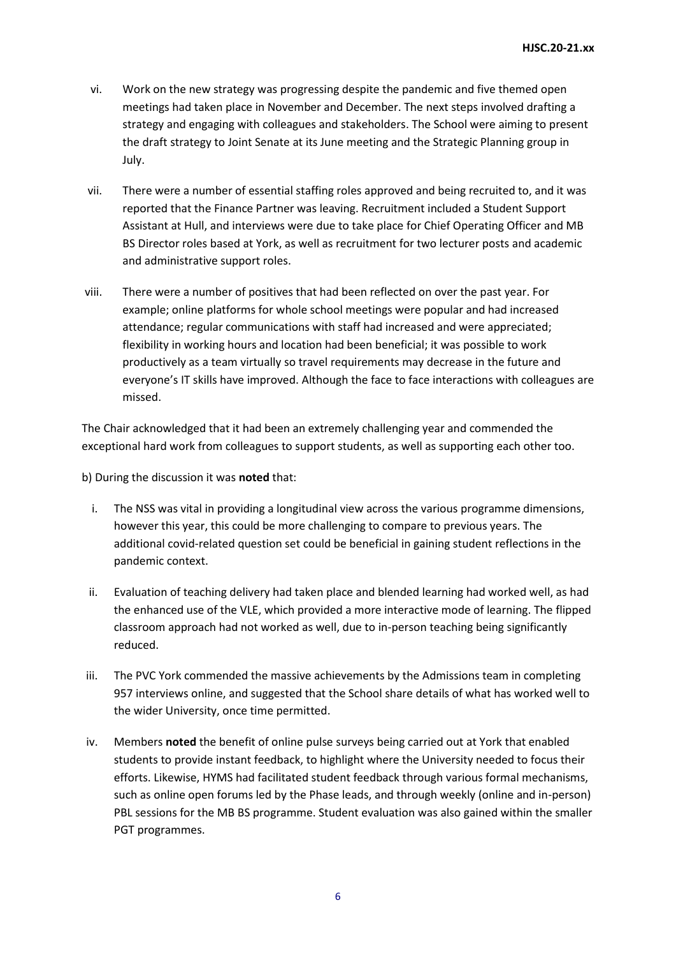- vi. Work on the new strategy was progressing despite the pandemic and five themed open meetings had taken place in November and December. The next steps involved drafting a strategy and engaging with colleagues and stakeholders. The School were aiming to present the draft strategy to Joint Senate at its June meeting and the Strategic Planning group in July.
- vii. There were a number of essential staffing roles approved and being recruited to, and it was reported that the Finance Partner was leaving. Recruitment included a Student Support Assistant at Hull, and interviews were due to take place for Chief Operating Officer and MB BS Director roles based at York, as well as recruitment for two lecturer posts and academic and administrative support roles.
- viii. There were a number of positives that had been reflected on over the past year. For example; online platforms for whole school meetings were popular and had increased attendance; regular communications with staff had increased and were appreciated; flexibility in working hours and location had been beneficial; it was possible to work productively as a team virtually so travel requirements may decrease in the future and everyone's IT skills have improved. Although the face to face interactions with colleagues are missed.

The Chair acknowledged that it had been an extremely challenging year and commended the exceptional hard work from colleagues to support students, as well as supporting each other too.

b) During the discussion it was **noted** that:

- i. The NSS was vital in providing a longitudinal view across the various programme dimensions, however this year, this could be more challenging to compare to previous years. The additional covid-related question set could be beneficial in gaining student reflections in the pandemic context.
- ii. Evaluation of teaching delivery had taken place and blended learning had worked well, as had the enhanced use of the VLE, which provided a more interactive mode of learning. The flipped classroom approach had not worked as well, due to in-person teaching being significantly reduced.
- iii. The PVC York commended the massive achievements by the Admissions team in completing 957 interviews online, and suggested that the School share details of what has worked well to the wider University, once time permitted.
- iv. Members **noted** the benefit of online pulse surveys being carried out at York that enabled students to provide instant feedback, to highlight where the University needed to focus their efforts. Likewise, HYMS had facilitated student feedback through various formal mechanisms, such as online open forums led by the Phase leads, and through weekly (online and in-person) PBL sessions for the MB BS programme. Student evaluation was also gained within the smaller PGT programmes.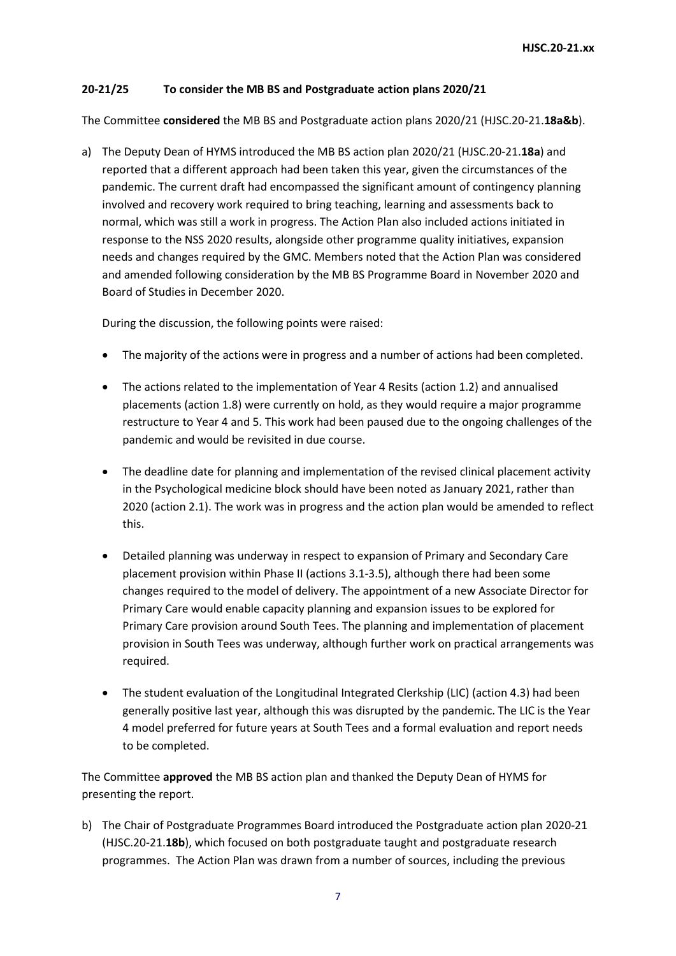# **20-21/25 To consider the MB BS and Postgraduate action plans 2020/21**

The Committee **considered** the MB BS and Postgraduate action plans 2020/21 (HJSC.20-21.**18a&b**).

a) The Deputy Dean of HYMS introduced the MB BS action plan 2020/21 (HJSC.20-21.**18a**) and reported that a different approach had been taken this year, given the circumstances of the pandemic. The current draft had encompassed the significant amount of contingency planning involved and recovery work required to bring teaching, learning and assessments back to normal, which was still a work in progress. The Action Plan also included actions initiated in response to the NSS 2020 results, alongside other programme quality initiatives, expansion needs and changes required by the GMC. Members noted that the Action Plan was considered and amended following consideration by the MB BS Programme Board in November 2020 and Board of Studies in December 2020.

During the discussion, the following points were raised:

- The majority of the actions were in progress and a number of actions had been completed.
- The actions related to the implementation of Year 4 Resits (action 1.2) and annualised placements (action 1.8) were currently on hold, as they would require a major programme restructure to Year 4 and 5. This work had been paused due to the ongoing challenges of the pandemic and would be revisited in due course.
- The deadline date for planning and implementation of the revised clinical placement activity in the Psychological medicine block should have been noted as January 2021, rather than 2020 (action 2.1). The work was in progress and the action plan would be amended to reflect this.
- Detailed planning was underway in respect to expansion of Primary and Secondary Care placement provision within Phase II (actions 3.1-3.5), although there had been some changes required to the model of delivery. The appointment of a new Associate Director for Primary Care would enable capacity planning and expansion issues to be explored for Primary Care provision around South Tees. The planning and implementation of placement provision in South Tees was underway, although further work on practical arrangements was required.
- The student evaluation of the Longitudinal Integrated Clerkship (LIC) (action 4.3) had been generally positive last year, although this was disrupted by the pandemic. The LIC is the Year 4 model preferred for future years at South Tees and a formal evaluation and report needs to be completed.

The Committee **approved** the MB BS action plan and thanked the Deputy Dean of HYMS for presenting the report.

b) The Chair of Postgraduate Programmes Board introduced the Postgraduate action plan 2020-21 (HJSC.20-21.**18b**), which focused on both postgraduate taught and postgraduate research programmes. The Action Plan was drawn from a number of sources, including the previous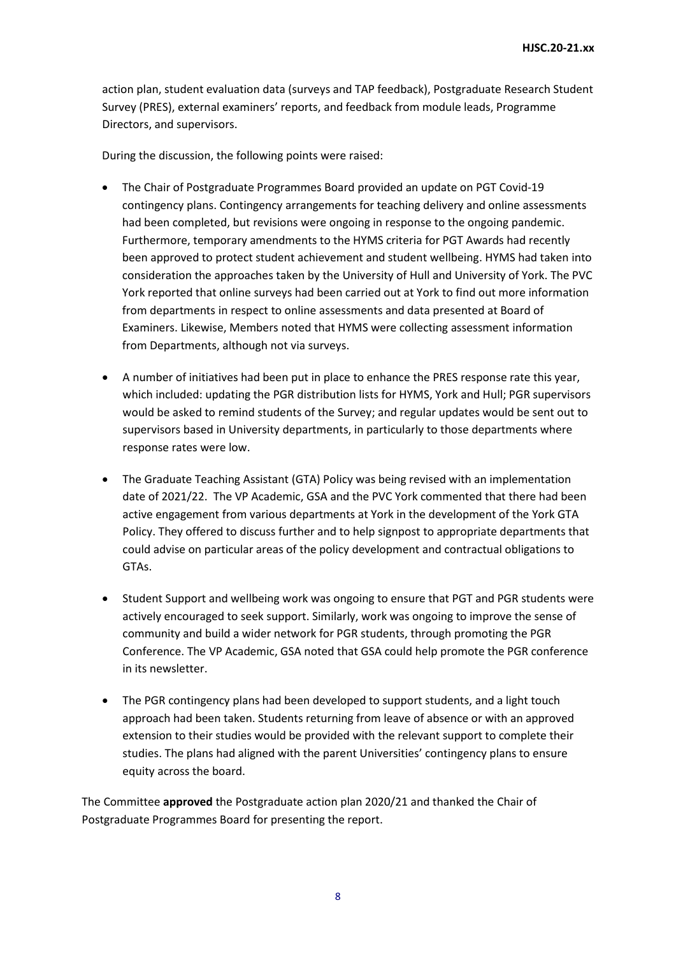action plan, student evaluation data (surveys and TAP feedback), Postgraduate Research Student Survey (PRES), external examiners' reports, and feedback from module leads, Programme Directors, and supervisors.

During the discussion, the following points were raised:

- The Chair of Postgraduate Programmes Board provided an update on PGT Covid-19 contingency plans. Contingency arrangements for teaching delivery and online assessments had been completed, but revisions were ongoing in response to the ongoing pandemic. Furthermore, temporary amendments to the HYMS criteria for PGT Awards had recently been approved to protect student achievement and student wellbeing. HYMS had taken into consideration the approaches taken by the University of Hull and University of York. The PVC York reported that online surveys had been carried out at York to find out more information from departments in respect to online assessments and data presented at Board of Examiners. Likewise, Members noted that HYMS were collecting assessment information from Departments, although not via surveys.
- A number of initiatives had been put in place to enhance the PRES response rate this year, which included: updating the PGR distribution lists for HYMS, York and Hull; PGR supervisors would be asked to remind students of the Survey; and regular updates would be sent out to supervisors based in University departments, in particularly to those departments where response rates were low.
- The Graduate Teaching Assistant (GTA) Policy was being revised with an implementation date of 2021/22. The VP Academic, GSA and the PVC York commented that there had been active engagement from various departments at York in the development of the York GTA Policy. They offered to discuss further and to help signpost to appropriate departments that could advise on particular areas of the policy development and contractual obligations to GTAs.
- Student Support and wellbeing work was ongoing to ensure that PGT and PGR students were actively encouraged to seek support. Similarly, work was ongoing to improve the sense of community and build a wider network for PGR students, through promoting the PGR Conference. The VP Academic, GSA noted that GSA could help promote the PGR conference in its newsletter.
- The PGR contingency plans had been developed to support students, and a light touch approach had been taken. Students returning from leave of absence or with an approved extension to their studies would be provided with the relevant support to complete their studies. The plans had aligned with the parent Universities' contingency plans to ensure equity across the board.

The Committee **approved** the Postgraduate action plan 2020/21 and thanked the Chair of Postgraduate Programmes Board for presenting the report.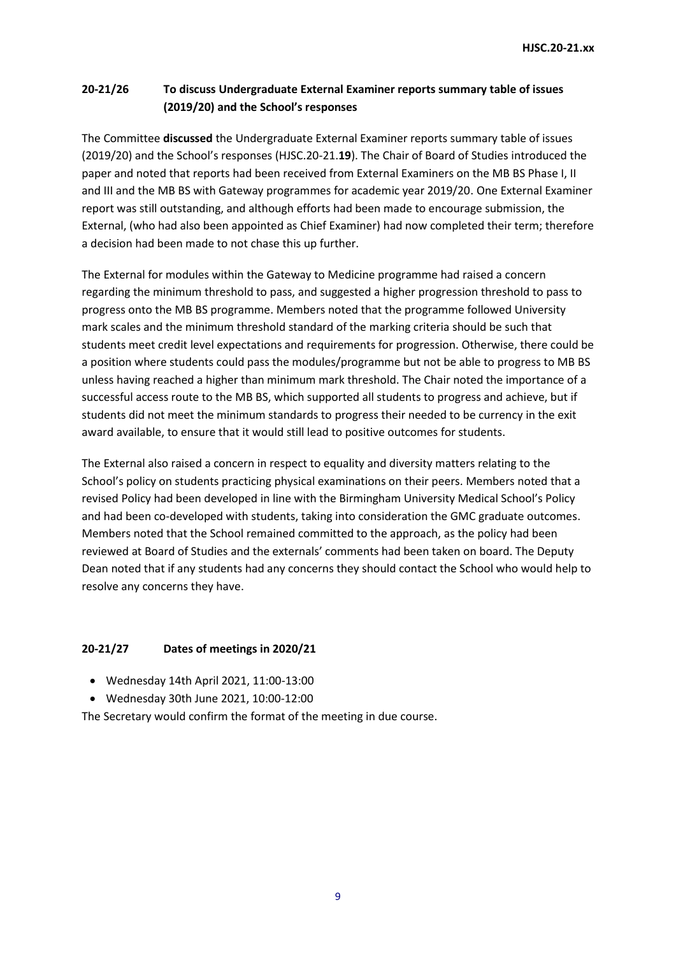# **20-21/26 To discuss Undergraduate External Examiner reports summary table of issues (2019/20) and the School's responses**

The Committee **discussed** the Undergraduate External Examiner reports summary table of issues (2019/20) and the School's responses (HJSC.20-21.**19**). The Chair of Board of Studies introduced the paper and noted that reports had been received from External Examiners on the MB BS Phase I, II and III and the MB BS with Gateway programmes for academic year 2019/20. One External Examiner report was still outstanding, and although efforts had been made to encourage submission, the External, (who had also been appointed as Chief Examiner) had now completed their term; therefore a decision had been made to not chase this up further.

The External for modules within the Gateway to Medicine programme had raised a concern regarding the minimum threshold to pass, and suggested a higher progression threshold to pass to progress onto the MB BS programme. Members noted that the programme followed University mark scales and the minimum threshold standard of the marking criteria should be such that students meet credit level expectations and requirements for progression. Otherwise, there could be a position where students could pass the modules/programme but not be able to progress to MB BS unless having reached a higher than minimum mark threshold. The Chair noted the importance of a successful access route to the MB BS, which supported all students to progress and achieve, but if students did not meet the minimum standards to progress their needed to be currency in the exit award available, to ensure that it would still lead to positive outcomes for students.

The External also raised a concern in respect to equality and diversity matters relating to the School's policy on students practicing physical examinations on their peers. Members noted that a revised Policy had been developed in line with the Birmingham University Medical School's Policy and had been co-developed with students, taking into consideration the GMC graduate outcomes. Members noted that the School remained committed to the approach, as the policy had been reviewed at Board of Studies and the externals' comments had been taken on board. The Deputy Dean noted that if any students had any concerns they should contact the School who would help to resolve any concerns they have.

# **20-21/27 Dates of meetings in 2020/21**

- Wednesday 14th April 2021, 11:00-13:00
- Wednesday 30th June 2021, 10:00-12:00

The Secretary would confirm the format of the meeting in due course.